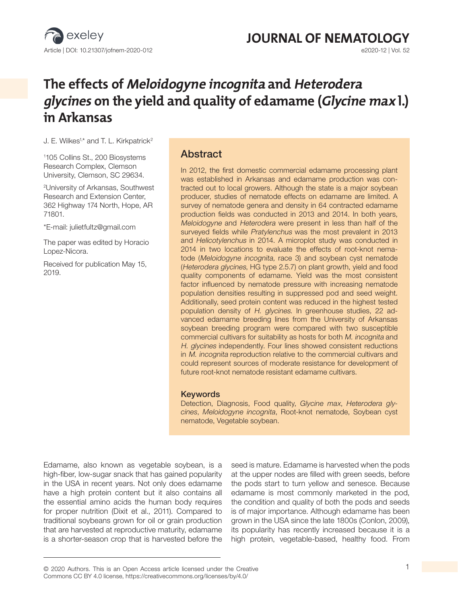

# **JOURNAL OF NEMATOLOGY**<br> **G2020-12 | Vol. 52**

## **The effects of Meloidogyne incognita and Heterodera glycines on the yield and quality of edamame (Glycine max l.) in Arkansas**

J. E. Wilkes<sup>1,\*</sup> and T. L. Kirkpatrick<sup>2</sup>

1 105 Collins St., 200 Biosystems Research Complex, Clemson University, Clemson, SC 29634.

2 University of Arkansas, Southwest Research and Extension Center, 362 Highway 174 North, Hope, AR 71801.

\*E-mail: julietfultz@gmail.com

The paper was edited by Horacio Lopez-Nicora.

Received for publication May 15, 2019.

## Abstract

In 2012, the first domestic commercial edamame processing plant was established in Arkansas and edamame production was contracted out to local growers. Although the state is a major soybean producer, studies of nematode effects on edamame are limited. A survey of nematode genera and density in 64 contracted edamame production fields was conducted in 2013 and 2014. In both years, Meloidogyne and Heterodera were present in less than half of the surveyed fields while Pratylenchus was the most prevalent in 2013 and Helicotylenchus in 2014. A microplot study was conducted in 2014 in two locations to evaluate the effects of root-knot nematode (Meloidogyne incognita, race 3) and soybean cyst nematode (Heterodera glycines, HG type 2.5.7) on plant growth, yield and food quality components of edamame. Yield was the most consistent factor influenced by nematode pressure with increasing nematode population densities resulting in suppressed pod and seed weight. Additionally, seed protein content was reduced in the highest tested population density of H. glycines. In greenhouse studies, 22 advanced edamame breeding lines from the University of Arkansas soybean breeding program were compared with two susceptible commercial cultivars for suitability as hosts for both M. incognita and H. glycines independently. Four lines showed consistent reductions in M. incognita reproduction relative to the commercial cultivars and could represent sources of moderate resistance for development of future root-knot nematode resistant edamame cultivars.

#### Keywords

Detection, Diagnosis, Food quality, *Glycine max*, *Heterodera glycines*, *Meloidogyne incognita*, Root-knot nematode, Soybean cyst nematode, Vegetable soybean.

Edamame, also known as vegetable soybean, is a high-fiber, low-sugar snack that has gained popularity in the USA in recent years. Not only does edamame have a high protein content but it also contains all the essential amino acids the human body requires for proper nutrition (Dixit et al., 2011). Compared to traditional soybeans grown for oil or grain production that are harvested at reproductive maturity, edamame is a shorter-season crop that is harvested before the

seed is mature. Edamame is harvested when the pods at the upper nodes are filled with green seeds, before the pods start to turn yellow and senesce. Because edamame is most commonly marketed in the pod, the condition and quality of both the pods and seeds is of major importance. Although edamame has been grown in the USA since the late 1800s (Conlon, 2009), its popularity has recently increased because it is a high protein, vegetable-based, healthy food. From

<sup>© 2020</sup> Authors. This is an Open Access article licensed under the Creative 1 Commons CC BY 4.0 license, https://creativecommons.org/licenses/by/4.0/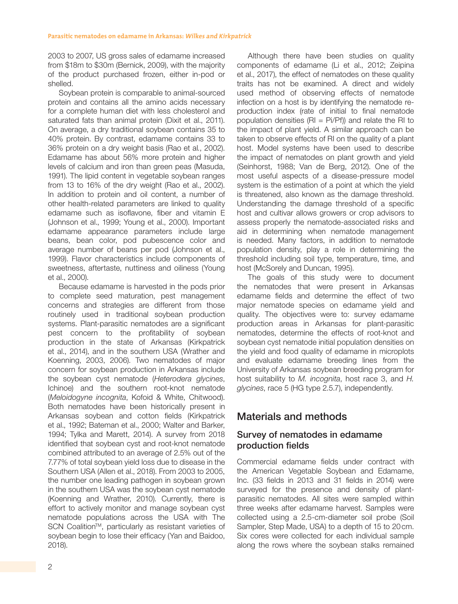2003 to 2007, US gross sales of edamame increased from \$18m to \$30m (Bernick, 2009), with the majority of the product purchased frozen, either in-pod or shelled.

Soybean protein is comparable to animal-sourced protein and contains all the amino acids necessary for a complete human diet with less cholesterol and saturated fats than animal protein (Dixit et al., 2011). On average, a dry traditional soybean contains 35 to 40% protein. By contrast, edamame contains 33 to 36% protein on a dry weight basis (Rao et al*.*, 2002). Edamame has about 56% more protein and higher levels of calcium and iron than green peas (Masuda, 1991). The lipid content in vegetable soybean ranges from 13 to 16% of the dry weight (Rao et al., 2002). In addition to protein and oil content, a number of other health-related parameters are linked to quality edamame such as isoflavone, fiber and vitamin E (Johnson et al., 1999; Young et al., 2000). Important edamame appearance parameters include large beans, bean color, pod pubescence color and average number of beans per pod (Johnson et al., 1999). Flavor characteristics include components of sweetness, aftertaste, nuttiness and oiliness (Young et al., 2000).

Because edamame is harvested in the pods prior to complete seed maturation, pest management concerns and strategies are different from those routinely used in traditional soybean production systems. Plant-parasitic nematodes are a significant pest concern to the profitability of soybean production in the state of Arkansas (Kirkpatrick et al., 2014), and in the southern USA (Wrather and Koenning, 2003, 2006). Two nematodes of major concern for soybean production in Arkansas include the soybean cyst nematode (*Heterodera glycines*, Ichinoe) and the southern root-knot nematode (*Meloidogyne incognita*, Kofoid & White, Chitwood). Both nematodes have been historically present in Arkansas soybean and cotton fields (Kirkpatrick et al., 1992; Bateman et al., 2000; Walter and Barker, 1994; Tylka and Marett, 2014). A survey from 2018 identified that soybean cyst and root-knot nematode combined attributed to an average of 2.5% out of the 7.77% of total soybean yield loss due to disease in the Southern USA (Allen et al., 2018). From 2003 to 2005, the number one leading pathogen in soybean grown in the southern USA was the soybean cyst nematode (Koenning and Wrather, 2010). Currently, there is effort to actively monitor and manage soybean cyst nematode populations across the USA with The SCN Coalition™, particularly as resistant varieties of soybean begin to lose their efficacy (Yan and Baidoo, 2018).

components of edamame (Li et al., 2012; Zeipina et al., 2017), the effect of nematodes on these quality traits has not be examined. A direct and widely used method of observing effects of nematode infection on a host is by identifying the nematode reproduction index (rate of initial to final nematode population densities ( $\text{RI} = \text{Pi/Pf}$ ) and relate the RI to the impact of plant yield. A similar approach can be taken to observe effects of RI on the quality of a plant host. Model systems have been used to describe the impact of nematodes on plant growth and yield (Seinhorst, 1988; Van de Berg, 2012). One of the most useful aspects of a disease-pressure model system is the estimation of a point at which the yield is threatened, also known as the damage threshold. Understanding the damage threshold of a specific host and cultivar allows growers or crop advisors to assess properly the nematode-associated risks and aid in determining when nematode management is needed. Many factors, in addition to nematode population density, play a role in determining the threshold including soil type, temperature, time, and host (McSorely and Duncan, 1995).

Although there have been studies on quality

The goals of this study were to document the nematodes that were present in Arkansas edamame fields and determine the effect of two major nematode species on edamame yield and quality. The objectives were to: survey edamame production areas in Arkansas for plant-parasitic nematodes, determine the effects of root-knot and soybean cyst nematode initial population densities on the yield and food quality of edamame in microplots and evaluate edamame breeding lines from the University of Arkansas soybean breeding program for host suitability to *M. incognita*, host race 3, and *H. glycines*, race 5 (HG type 2.5.7), independently.

## Materials and methods

## Survey of nematodes in edamame production fields

Commercial edamame fields under contract with the American Vegetable Soybean and Edamame, Inc. (33 fields in 2013 and 31 fields in 2014) were surveyed for the presence and density of plantparasitic nematodes. All sites were sampled within three weeks after edamame harvest. Samples were collected using a 2.5-cm-diameter soil probe (Soil Sampler, Step Made, USA) to a depth of 15 to 20cm. Six cores were collected for each individual sample along the rows where the soybean stalks remained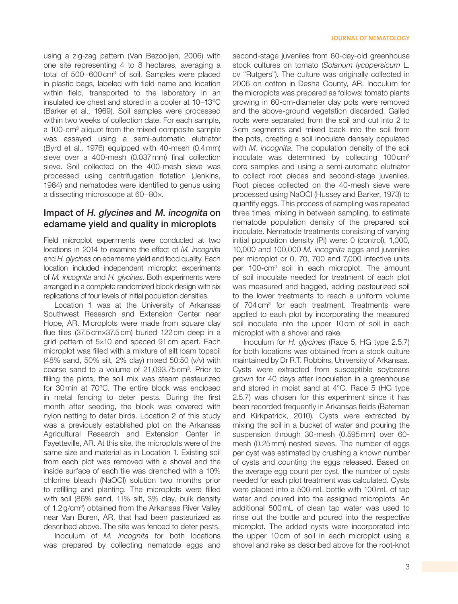using a zig-zag pattern (Van Bezooijen, 2006) with one site representing 4 to 8 hectares, averaging a total of 500−600cm3 of soil. Samples were placed in plastic bags, labeled with field name and location within field, transported to the laboratory in an insulated ice chest and stored in a cooler at 10−13°C (Barker et al., 1969). Soil samples were processed within two weeks of collection date. For each sample, a 100-cm<sup>3</sup> aliquot from the mixed composite sample was assayed using a semi-automatic elutriator (Byrd et al., 1976) equipped with 40-mesh (0.4mm) sieve over a 400-mesh (0.037mm) final collection sieve. Soil collected on the 400-mesh sieve was processed using centrifugation flotation (Jenkins, 1964) and nematodes were identified to genus using a dissecting microscope at 60−80×.

## Impact of H. glycines and M. incognita on edamame yield and quality in microplots

Field microplot experiments were conducted at two locations in 2014 to examine the effect of *M. incognita* and *H. glycines* on edamame yield and food quality. Each location included independent microplot experiments of *M. incognita* and *H. glycines*. Both experiments were arranged in a complete randomized block design with six replications of four levels of initial population densities.

Location 1 was at the University of Arkansas Southwest Research and Extension Center near Hope, AR. Microplots were made from square clay flue tiles (37.5cm×37.5cm) buried 122cm deep in a grid pattern of 5×10 and spaced 91cm apart. Each microplot was filled with a mixture of silt loam topsoil (48% sand, 50% silt, 2% clay) mixed 50:50 (v/v) with coarse sand to a volume of 21,093.75 cm<sup>3</sup>. Prior to filling the plots, the soil mix was steam pasteurized for 30min at 70°C. The entire block was enclosed in metal fencing to deter pests. During the first month after seeding, the block was covered with nylon netting to deter birds. Location 2 of this study was a previously established plot on the Arkansas Agricultural Research and Extension Center in Fayetteville, AR. At this site, the microplots were of the same size and material as in Location 1. Existing soil from each plot was removed with a shovel and the inside surface of each tile was drenched with a 10% chlorine bleach (NaOCl) solution two months prior to refilling and planting. The microplots were filled with soil (86% sand, 11% silt, 3% clay, bulk density of 1.2 g/cm<sup>3</sup>) obtained from the Arkansas River Valley near Van Buren, AR, that had been pasteurized as described above. The site was fenced to deter pests.

Inoculum of *M. incognita* for both locations was prepared by collecting nematode eggs and second-stage juveniles from 60-day-old greenhouse stock cultures on tomato (*Solanum lycopersicum* L. cv "Rutgers"). The culture was originally collected in 2006 on cotton in Desha County, AR. Inoculum for the microplots was prepared as follows: tomato plants growing in 60-cm-diameter clay pots were removed and the above-ground vegetation discarded. Galled roots were separated from the soil and cut into 2 to 3cm segments and mixed back into the soil from the pots, creating a soil inoculate densely populated with *M. incognita*. The population density of the soil inoculate was determined by collecting 100cm3 core samples and using a semi-automatic elutriator to collect root pieces and second-stage juveniles. Root pieces collected on the 40-mesh sieve were processed using NaOCl (Hussey and Barker, 1973) to quantify eggs. This process of sampling was repeated three times, mixing in between sampling, to estimate nematode population density of the prepared soil inoculate. Nematode treatments consisting of varying initial population density (Pi) were: 0 (control), 1,000, 10,000 and 100,000 *M. incognita* eggs and juveniles per microplot or 0, 70, 700 and 7,000 infective units per 100-cm<sup>3</sup> soil in each microplot. The amount of soil inoculate needed for treatment of each plot was measured and bagged, adding pasteurized soil to the lower treatments to reach a uniform volume of 704cm3 for each treatment. Treatments were applied to each plot by incorporating the measured soil inoculate into the upper 10cm of soil in each microplot with a shovel and rake.

Inoculum for *H. glycines* (Race 5, HG type 2.5.7) for both locations was obtained from a stock culture maintained by Dr R.T. Robbins, University of Arkansas. Cysts were extracted from susceptible soybeans grown for 40 days after inoculation in a greenhouse and stored in moist sand at 4°C. Race 5 (HG type 2.5.7) was chosen for this experiment since it has been recorded frequently in Arkansas fields (Bateman and Kirkpatrick, 2010). Cysts were extracted by mixing the soil in a bucket of water and pouring the suspension through 30-mesh (0.595mm) over 60 mesh (0.25mm) nested sieves. The number of eggs per cyst was estimated by crushing a known number of cysts and counting the eggs released. Based on the average egg count per cyst, the number of cysts needed for each plot treatment was calculated. Cysts were placed into a 500-mL bottle with 100mL of tap water and poured into the assigned microplots. An additional 500mL of clean tap water was used to rinse out the bottle and poured into the respective microplot. The added cysts were incorporated into the upper 10cm of soil in each microplot using a shovel and rake as described above for the root-knot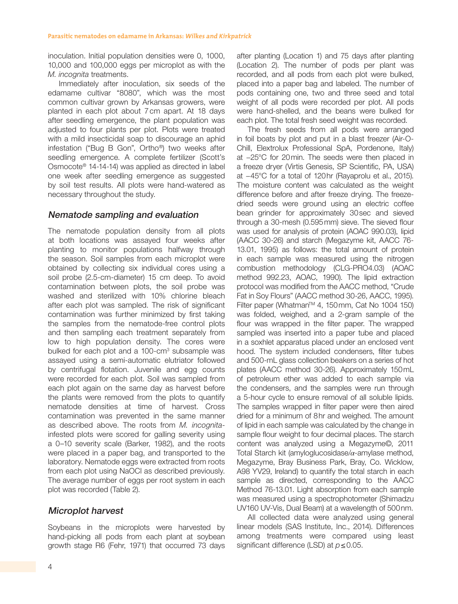inoculation. Initial population densities were 0, 1000, 10,000 and 100,000 eggs per microplot as with the *M. incognita* treatments.

Immediately after inoculation, six seeds of the edamame cultivar "8080", which was the most common cultivar grown by Arkansas growers, were planted in each plot about 7cm apart. At 18 days after seedling emergence, the plant population was adjusted to four plants per plot. Plots were treated with a mild insecticidal soap to discourage an aphid infestation ("Bug B Gon", Ortho®) two weeks after seedling emergence. A complete fertilizer (Scott's Osmocote® 14-14-14) was applied as directed in label one week after seedling emergence as suggested by soil test results. All plots were hand-watered as necessary throughout the study.

## Nematode sampling and evaluation

The nematode population density from all plots at both locations was assayed four weeks after planting to monitor populations halfway through the season. Soil samples from each microplot were obtained by collecting six individual cores using a soil probe (2.5-cm-diameter) 15 cm deep. To avoid contamination between plots, the soil probe was washed and sterilized with 10% chlorine bleach after each plot was sampled. The risk of significant contamination was further minimized by first taking the samples from the nematode-free control plots and then sampling each treatment separately from low to high population density. The cores were bulked for each plot and a 100-cm<sup>3</sup> subsample was assayed using a semi-automatic elutriator followed by centrifugal flotation. Juvenile and egg counts were recorded for each plot. Soil was sampled from each plot again on the same day as harvest before the plants were removed from the plots to quantify nematode densities at time of harvest. Cross contamination was prevented in the same manner as described above. The roots from *M. incognita*infested plots were scored for galling severity using a 0–10 severity scale (Barker, 1982), and the roots were placed in a paper bag, and transported to the laboratory. Nematode eggs were extracted from roots from each plot using NaOCl as described previously. The average number of eggs per root system in each plot was recorded (Table 2).

## Microplot harvest

Soybeans in the microplots were harvested by hand-picking all pods from each plant at soybean growth stage R6 (Fehr, 1971) that occurred 73 days after planting (Location 1) and 75 days after planting (Location 2). The number of pods per plant was recorded, and all pods from each plot were bulked, placed into a paper bag and labeled. The number of pods containing one, two and three seed and total weight of all pods were recorded per plot. All pods were hand-shelled, and the beans were bulked for each plot. The total fresh seed weight was recorded.

The fresh seeds from all pods were arranged in foil boats by plot and put in a blast freezer (Air-O-Chill, Elextrolux Professional SpA, Pordenone, Italy) at −25°C for 20min. The seeds were then placed in a freeze dryer (Virtis Genesis, SP Scientific, PA, USA) at −45°C for a total of 120hr (Rayaprolu et al., 2015). The moisture content was calculated as the weight difference before and after freeze drying. The freezedried seeds were ground using an electric coffee bean grinder for approximately 30sec and sieved through a 30-mesh (0.595mm) sieve. The sieved flour was used for analysis of protein (AOAC 990.03), lipid (AACC 30-26) and starch (Megazyme kit, AACC 76- 13.01, 1995) as follows: the total amount of protein in each sample was measured using the nitrogen combustion methodology (CLG-PRO4.03) (AOAC method 992.23, AOAC, 1990). The lipid extraction protocol was modified from the AACC method, "Crude Fat in Soy Flours" (AACC method 30-26, AACC, 1995). Filter paper (Whatman™ 4, 150mm, Cat No 1004 150) was folded, weighed, and a 2-gram sample of the flour was wrapped in the filter paper. The wrapped sampled was inserted into a paper tube and placed in a soxhlet apparatus placed under an enclosed vent hood. The system included condensers, filter tubes and 500-mL glass collection beakers on a series of hot plates (AACC method 30-26). Approximately 150mL of petroleum ether was added to each sample via the condensers, and the samples were run through a 5-hour cycle to ensure removal of all soluble lipids. The samples wrapped in filter paper were then aired dried for a minimum of 8hr and weighed. The amount of lipid in each sample was calculated by the change in sample flour weight to four decimal places. The starch content was analyzed using a Megazyme©, 2011 Total Starch kit (amyloglucosidase/*α*-amylase method, Megazyme, Bray Business Park, Bray, Co. Wicklow, A98 YV29, Ireland) to quantify the total starch in each sample as directed, corresponding to the AACC Method 76-13.01. Light absorption from each sample was measured using a spectrophotometer (Shimadzu UV160 UV-Vis, Dual Beam) at a wavelength of 500nm.

All collected data were analyzed using general linear models (SAS Institute, Inc., 2014). Differences among treatments were compared using least significant difference (LSD) at *p*≤0.05.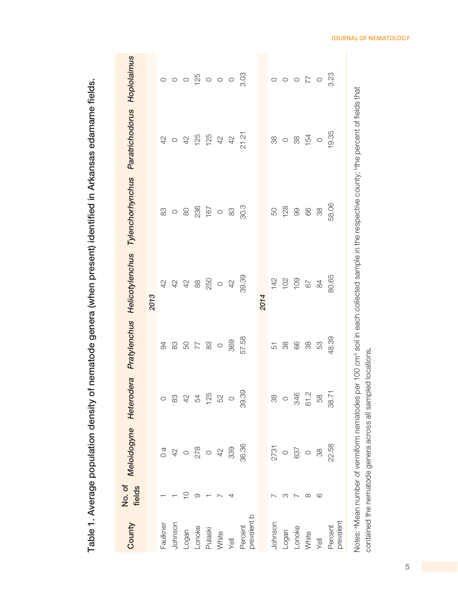| County                 | No.of<br>fields | Meloidogyne Heterodera |                        |                                                     | Pratylenchus Helicotylenchus                    | Tylenchorhynchus Paratrichodorus Hoplolaimus                                                                                                                                   |                                                |                                               |
|------------------------|-----------------|------------------------|------------------------|-----------------------------------------------------|-------------------------------------------------|--------------------------------------------------------------------------------------------------------------------------------------------------------------------------------|------------------------------------------------|-----------------------------------------------|
|                        |                 |                        |                        |                                                     | 2013                                            |                                                                                                                                                                                |                                                |                                               |
| Faulkner               |                 | $\alpha$               | $\circ$                | 94                                                  | $\overline{4}$                                  | 83                                                                                                                                                                             | 42                                             |                                               |
| Johnson                |                 | $42$                   | $83\,$                 |                                                     | 42                                              | $\circ$                                                                                                                                                                        | $\circ$                                        | $\circ \circ \circ$                           |
| Logan                  | $\supseteq$     | $\circ$                |                        | $\begin{array}{c} 32 \\ 34 \\ 46 \\ 88 \end{array}$ | $\frac{4}{2}$                                   | $\infty$                                                                                                                                                                       | $\frac{1}{2}$                                  |                                               |
| Lonoke                 | တ               |                        | 42400                  |                                                     | $\stackrel{\textstyle\rm{0}}{\textstyle\rm{0}}$ |                                                                                                                                                                                |                                                |                                               |
| Pulaski                |                 | 278                    |                        |                                                     | 250                                             |                                                                                                                                                                                | $125$<br>$125$                                 |                                               |
| White                  |                 | $\overline{4}$         |                        | $\bigcirc$                                          | $\bigcirc$                                      |                                                                                                                                                                                |                                                |                                               |
| yell                   | 4               | 339                    | $\circ$                | 369                                                 | $\frac{4}{2}$                                   | $236$<br>$160$ $-30$<br>$-30$<br>$-30$                                                                                                                                         | $\begin{array}{cc} 4 & 6 \\ 4 & 6 \end{array}$ |                                               |
| prevalent b<br>Percent |                 | 36.36                  | 39.39                  | 57.58                                               | 39.39                                           |                                                                                                                                                                                | 21.21                                          |                                               |
|                        |                 |                        |                        |                                                     | 2014                                            |                                                                                                                                                                                |                                                |                                               |
| Johnson                |                 | 2731                   | $\mathop{\mathrm{SO}}$ | 51                                                  |                                                 | 50                                                                                                                                                                             |                                                |                                               |
| Logan                  |                 | $\circ$                | $\circ$                | 88                                                  | $142$<br>$102$<br>$109$                         | 128                                                                                                                                                                            | $\frac{8}{20}$                                 | $\begin{array}{c} 0 & 0 \\ 0 & 0 \end{array}$ |
| Lonoke                 |                 | 637                    | 346<br>61.2            | 89                                                  |                                                 | 99                                                                                                                                                                             | 88                                             |                                               |
| White                  | ∞               | $\circ$                |                        | 88                                                  | 67                                              | 66                                                                                                                                                                             | 154                                            |                                               |
| <b>Vell</b>            | $\circ$         | 38                     | 58                     | 53                                                  | $\frac{\infty}{4}$                              | 88                                                                                                                                                                             | $\bigcirc$                                     |                                               |
| prevalent<br>Percent   |                 | 22.58                  | 38.71                  | 48.39                                               | 80.65                                           | 58.06                                                                                                                                                                          | 19.35                                          | 3.23                                          |
|                        |                 |                        |                        |                                                     |                                                 | Notes: <sup>a</sup> Mean number of vermiform nematodes per 100 cm <sup>3</sup> soil in each collected sample in the respective county; <sup>b</sup> the percent of fields that |                                                |                                               |

Table 1. Average population density of nematode genera (when present) identified in Arkansas edamame fields. Table 1. Average population density of nematode genera (when present) identified in Arkansas edamame fields.

**JOURNAL OF NEMATOLOGY**

contained the nematode genera across all sampled locations*.*

contained the nematode genera across all sampled locations.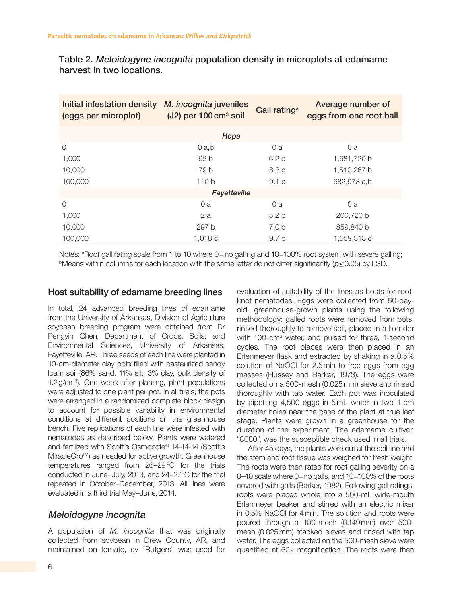Table 2. Meloidogyne incognita population density in microplots at edamame harvest in two locations.

| Initial infestation density<br>(eggs per microplot) | M. incognita juveniles<br>$(J2)$ per 100 cm <sup>3</sup> soil | Gall rating <sup>a</sup> | Average number of<br>eggs from one root ball |
|-----------------------------------------------------|---------------------------------------------------------------|--------------------------|----------------------------------------------|
|                                                     | Hope                                                          |                          |                                              |
| $\Omega$                                            | $0$ a,b                                                       | 0a                       | 0a                                           |
| 1,000                                               | 92 b                                                          | 6.2 <sub>b</sub>         | 1,681,720 b                                  |
| 10,000                                              | 79 b                                                          | 8.3 c                    | 1,510,267 b                                  |
| 100,000                                             | 110 <sub>b</sub>                                              | 9.1c                     | 682,973 a,b                                  |
|                                                     | Fayetteville                                                  |                          |                                              |
| $\Omega$                                            | 0a                                                            | 0a                       | 0a                                           |
| 1,000                                               | 2a                                                            | 5.2 <sub>b</sub>         | 200.720 b                                    |
| 10,000                                              | 297 b                                                         | 7.0 <sub>b</sub>         | 859,840 b                                    |
| 100,000                                             | 1,018c                                                        | 9.7c                     | 1,559,313 c                                  |

Notes: <sup>a</sup>Root gall rating scale from 1 to 10 where 0=no galling and 10=100% root system with severe galling; bMeans within columns for each location with the same letter do not differ significantly (p≤0.05) by LSD.

### Host suitability of edamame breeding lines

In total, 24 advanced breeding lines of edamame from the University of Arkansas, Division of Agriculture soybean breeding program were obtained from Dr Pengyin Chen, Department of Crops, Soils, and Environmental Sciences, University of Arkansas, Fayetteville, AR. Three seeds of each line were planted in 10-cm-diameter clay pots filled with pasteurized sandy loam soil (86% sand, 11% silt, 3% clay, bulk density of 1.2g/cm3 ). One week after planting, plant populations were adjusted to one plant per pot. In all trials, the pots were arranged in a randomized complete block design to account for possible variability in environmental conditions at different positions on the greenhouse bench. Five replications of each line were infested with nematodes as described below. Plants were watered and fertilized with Scott's Osmocote® 14-14-14 (Scott's MiracleGro<sup>™</sup>) as needed for active growth. Greenhouse temperatures ranged from 26–29°C for the trials conducted in June–July, 2013, and 24–27°C for the trial repeated in October–December, 2013. All lines were evaluated in a third trial May–June, 2014.

## Meloidogyne incognita

A population of *M. incognita* that was originally collected from soybean in Drew County, AR, and maintained on tomato, cv "Rutgers" was used for evaluation of suitability of the lines as hosts for rootknot nematodes. Eggs were collected from 60-dayold, greenhouse-grown plants using the following methodology: galled roots were removed from pots, rinsed thoroughly to remove soil, placed in a blender with 100-cm3 water, and pulsed for three, 1-second cycles. The root pieces were then placed in an Erlenmeyer flask and extracted by shaking in a 0.5% solution of NaOCl for 2.5min to free eggs from egg masses (Hussey and Barker, 1973). The eggs were collected on a 500-mesh (0.025mm) sieve and rinsed thoroughly with tap water. Each pot was inoculated by pipetting 4,500 eggs in 5mL water in two 1-cm diameter holes near the base of the plant at true leaf stage. Plants were grown in a greenhouse for the duration of the experiment. The edamame cultivar, "8080", was the susceptible check used in all trials.

After 45 days, the plants were cut at the soil line and the stem and root tissue was weighed for fresh weight. The roots were then rated for root galling severity on a 0–10 scale where 0=no galls, and 10=100% of the roots covered with galls (Barker, 1982). Following gall ratings, roots were placed whole into a 500-mL wide-mouth Erlenmeyer beaker and stirred with an electric mixer in 0.5% NaOCl for 4min. The solution and roots were poured through a 100-mesh (0.149mm) over 500 mesh (0.025mm) stacked sieves and rinsed with tap water. The eggs collected on the 500-mesh sieve were quantified at 60× magnification. The roots were then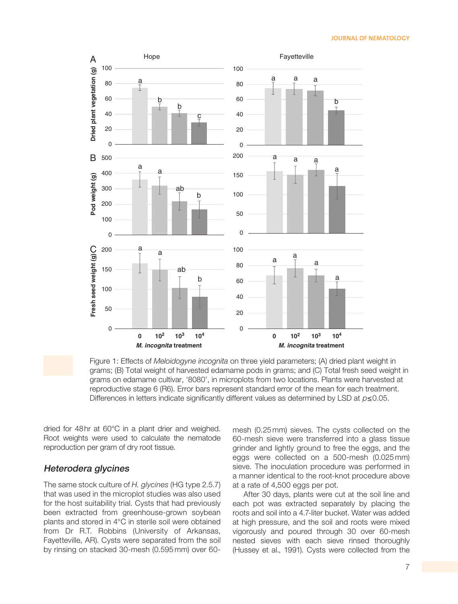#### **JOURNAL OF NEMATOLOGY**





dried for 48hr at 60°C in a plant drier and weighed. Root weights were used to calculate the nematode reproduction per gram of dry root tissue.

#### Heterodera glycines

The same stock culture of *H. glycines* (HG type 2.5.7) that was used in the microplot studies was also used for the host suitability trial. Cysts that had previously been extracted from greenhouse-grown soybean plants and stored in 4°C in sterile soil were obtained from Dr R.T. Robbins (University of Arkansas, Fayetteville, AR). Cysts were separated from the soil by rinsing on stacked 30-mesh (0.595 mm) over 60mesh (0.25 mm) sieves. The cysts collected on the 60-mesh sieve were transferred into a glass tissue grinder and lightly ground to free the eggs, and the eggs were collected on a 500-mesh (0.025 mm) sieve. The inoculation procedure was performed in a manner identical to the root-knot procedure above at a rate of 4,500 eggs per pot.

After 30 days, plants were cut at the soil line and each pot was extracted separately by placing the roots and soil into a 4.7-liter bucket. Water was added at high pressure, and the soil and roots were mixed vigorously and poured through 30 over 60-mesh nested sieves with each sieve rinsed thoroughly (Hussey et al., 1991). Cysts were collected from the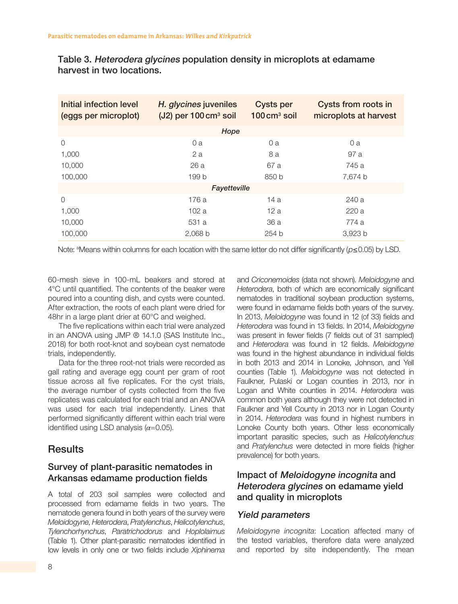| Initial infection level<br>(eggs per microplot) | H. glycines juveniles<br>$(J2)$ per 100 cm <sup>3</sup> soil | <b>Cysts per</b><br>$100 \text{ cm}^3$ soil | Cysts from roots in<br>microplots at harvest |
|-------------------------------------------------|--------------------------------------------------------------|---------------------------------------------|----------------------------------------------|
|                                                 | Hope                                                         |                                             |                                              |
| $\Omega$                                        | 0a                                                           | 0a                                          | 0 a                                          |
| 1,000                                           | 2a                                                           | 8 a                                         | 97 a                                         |
| 10,000                                          | 26a                                                          | 67 a                                        | 745 a                                        |
| 100,000                                         | 199 b                                                        | 850 b                                       | 7,674 b                                      |
|                                                 | Fayetteville                                                 |                                             |                                              |
| $\Omega$                                        | 176a                                                         | 14 a                                        | 240a                                         |
| 1,000                                           | 102a                                                         | 12a                                         | 220a                                         |
| 10,000                                          | 531 a                                                        | 36 a                                        | 774 a                                        |
| 100,000                                         | 2,068 b                                                      | 254b                                        | 3,923 b                                      |

Table 3. Heterodera glycines population density in microplots at edamame harvest in two locations.

Note: ªMeans within columns for each location with the same letter do not differ significantly (p≤0.05) by LSD.

60-mesh sieve in 100-mL beakers and stored at 4°C until quantified. The contents of the beaker were poured into a counting dish, and cysts were counted. After extraction, the roots of each plant were dried for 48hr in a large plant drier at 60°C and weighed.

The five replications within each trial were analyzed in an ANOVA using JMP ® 14.1.0 (SAS Institute Inc., 2018) for both root-knot and soybean cyst nematode trials, independently.

Data for the three root-not trials were recorded as gall rating and average egg count per gram of root tissue across all five replicates. For the cyst trials, the average number of cysts collected from the five replicates was calculated for each trial and an ANOVA was used for each trial independently. Lines that performed significantly different within each trial were identified using LSD analysis (*α*=0.05).

## Results

## Survey of plant-parasitic nematodes in Arkansas edamame production fields

A total of 203 soil samples were collected and processed from edamame fields in two years. The nematode genera found in both years of the survey were *Meloidogyne*, *Heterodera*, *Pratylenchus*, *Helicotylenchus*, *Tylenchorhynchus*, *Paratrichodorus* and *Hoplolaimus* (Table 1). Other plant-parasitic nematodes identified in low levels in only one or two fields include *Xiphinema* and *Criconemoides* (data not shown). *Meloidogyne* and *Heterodera*, both of which are economically significant nematodes in traditional soybean production systems, were found in edamame fields both years of the survey. In 2013, *Meloidogyne* was found in 12 (of 33) fields and *Heterodera* was found in 13 fields. In 2014, *Meloidogyne* was present in fewer fields (7 fields out of 31 sampled) and *Heterodera* was found in 12 fields. *Meloidogyne* was found in the highest abundance in individual fields in both 2013 and 2014 in Lonoke, Johnson, and Yell counties (Table 1). *Meloidogyne* was not detected in Faulkner, Pulaski or Logan counties in 2013, nor in Logan and White counties in 2014. *Heterodera* was common both years although they were not detected in Faulkner and Yell County in 2013 nor in Logan County in 2014. *Heterodera* was found in highest numbers in Lonoke County both years. Other less economically important parasitic species, such as *Helicotylenchus* and *Pratylenchus* were detected in more fields (higher prevalence) for both years.

## Impact of Meloidogyne incognita and Heterodera glycines on edamame yield and quality in microplots

## Yield parameters

*Meloidogyne incognita*: Location affected many of the tested variables, therefore data were analyzed and reported by site independently. The mean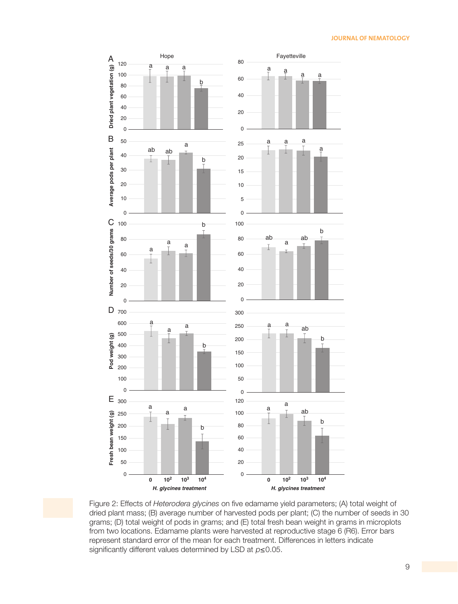#### **JOURNAL OF NEMATOLOGY**



Figure 2: Effects of *Heterodera glycines* on five edamame yield parameters; (A) total weight of dried plant mass; (B) average number of harvested pods per plant; (C) the number of seeds in 30 grams; (D) total weight of pods in grams; and (E) total fresh bean weight in grams in microplots from two locations. Edamame plants were harvested at reproductive stage 6 (R6). Error bars represent standard error of the mean for each treatment. Differences in letters indicate significantly different values determined by LSD at  $p \le 0.05$ .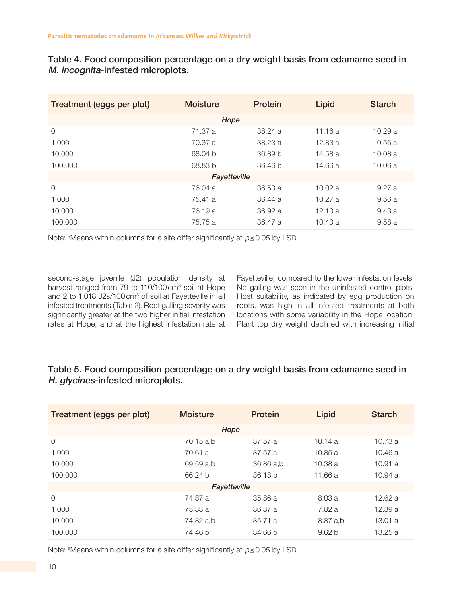Table 4. Food composition percentage on a dry weight basis from edamame seed in M. incognita-infested microplots.

| Treatment (eggs per plot) | <b>Moisture</b> | Protein            | Lipid   | <b>Starch</b> |
|---------------------------|-----------------|--------------------|---------|---------------|
|                           | Hope            |                    |         |               |
| $\overline{0}$            | 71.37 a         | 38.24 a            | 11.16a  | 10.29a        |
| 1,000                     | 70.37 a         | 38.23 a            | 12.83a  | 10.56a        |
| 10,000                    | 68.04 b         | 36.89 b            | 14.58 a | 10.08a        |
| 100,000                   | 68.83 b         | 36.46 <sub>b</sub> | 14.66 a | 10.06 a       |
|                           | Fayetteville    |                    |         |               |
| $\Omega$                  | 76.04 a         | 36.53 a            | 10.02a  | 9.27a         |
| 1,000                     | 75.41 a         | 36.44 a            | 10.27a  | 9.56a         |
| 10,000                    | 76.19 a         | 36.92 a            | 12.10a  | 9.43a         |
| 100,000                   | 75.75 a         | 36.47 a            | 10.40a  | 9.58a         |

Note: <sup>a</sup>Means within columns for a site differ significantly at p≤0.05 by LSD.

second-stage juvenile (J2) population density at harvest ranged from 79 to 110/100 cm<sup>3</sup> soil at Hope and 2 to 1,018 J2s/100 cm<sup>3</sup> of soil at Fayetteville in all infested treatments (Table 2). Root galling severity was significantly greater at the two higher initial infestation rates at Hope, and at the highest infestation rate at

Fayetteville, compared to the lower infestation levels. No galling was seen in the uninfested control plots. Host suitability, as indicated by egg production on roots, was high in all infested treatments at both locations with some variability in the Hope location. Plant top dry weight declined with increasing initial

## Table 5. Food composition percentage on a dry weight basis from edamame seed in H. glycines-infested microplots.

| Treatment (eggs per plot) | <b>Moisture</b> | Protein   | Lipid    | <b>Starch</b> |
|---------------------------|-----------------|-----------|----------|---------------|
|                           | Hope            |           |          |               |
| $\overline{0}$            | 70.15 a,b       | 37.57 a   | 10.14a   | 10.73a        |
| 1,000                     | 70.61 a         | 37.57 a   | 10.85a   | 10.46a        |
| 10,000                    | 69.59 a,b       | 36.86 a,b | 10.38a   | 10.91a        |
| 100,000                   | 66.24 b         | 36.18 b   | 11.66a   | 10.94 a       |
|                           | Fayetteville    |           |          |               |
| $\Omega$                  | 74.87 a         | 35.86 a   | 8.03a    | 12.62a        |
| 1,000                     | 75.33 a         | 36.37 a   | 7.82 a   | 12.39 a       |
| 10,000                    | 74.82 a,b       | 35.71 a   | 8.87 a,b | 13.01a        |
| 100,000                   | 74.46 b         | 34.66 b   | 9.62 b   | 13.25a        |

Note: <sup>a</sup>Means within columns for a site differ significantly at  $p \leq 0.05$  by LSD.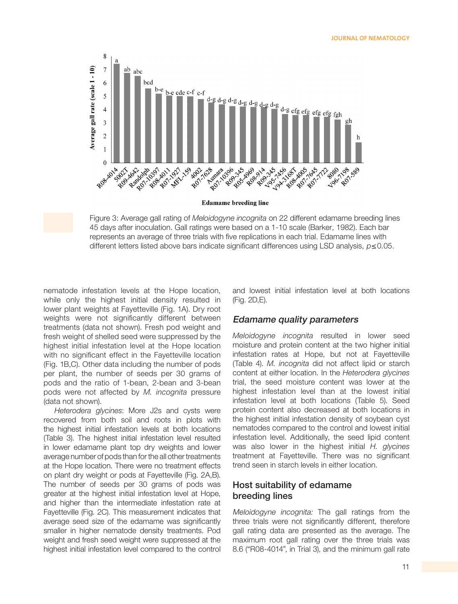

**Edamame breeding line** 

Figure 3: Average gall rating of *Meloidogyne incognita* on 22 different edamame breeding lines 45 days after inoculation. Gall ratings were based on a 1-10 scale (Barker, 1982). Each bar represents an average of three trials with five replications in each trial. Edamame lines with different letters listed above bars indicate significant differences using LSD analysis,  $p \le 0.05$ .

nematode infestation levels at the Hope location, while only the highest initial density resulted in lower plant weights at Fayetteville (Fig. 1A). Dry root weights were not significantly different between treatments (data not shown). Fresh pod weight and fresh weight of shelled seed were suppressed by the highest initial infestation level at the Hope location with no significant effect in the Fayetteville location (Fig. 1B,C). Other data including the number of pods per plant, the number of seeds per 30 grams of pods and the ratio of 1-bean, 2-bean and 3-bean pods were not affected by *M. incognita* pressure (data not shown).

*Heterodera glycines*: More J2s and cysts were recovered from both soil and roots in plots with the highest initial infestation levels at both locations (Table 3). The highest initial infestation level resulted in lower edamame plant top dry weights and lower average number of pods than for the all other treatments at the Hope location. There were no treatment effects on plant dry weight or pods at Fayetteville (Fig. 2A,B). The number of seeds per 30 grams of pods was greater at the highest initial infestation level at Hope, and higher than the intermediate infestation rate at Fayetteville (Fig. 2C). This measurement indicates that average seed size of the edamame was significantly smaller in higher nematode density treatments. Pod weight and fresh seed weight were suppressed at the highest initial infestation level compared to the control

and lowest initial infestation level at both locations (Fig. 2D,E).

## Edamame quality parameters

*Meloidogyne incognita* resulted in lower seed moisture and protein content at the two higher initial infestation rates at Hope, but not at Fayetteville (Table 4). *M. incognita* did not affect lipid or starch content at either location. In the *Heterodera glycines* trial, the seed moisture content was lower at the highest infestation level than at the lowest initial infestation level at both locations (Table 5). Seed protein content also decreased at both locations in the highest initial infestation density of soybean cyst nematodes compared to the control and lowest initial infestation level. Additionally, the seed lipid content was also lower in the highest initial *H. glycines* treatment at Fayetteville. There was no significant trend seen in starch levels in either location.

## Host suitability of edamame breeding lines

Meloidogyne incognita: The gall ratings from the three trials were not significantly different, therefore gall rating data are presented as the average. The maximum root gall rating over the three trials was 8.6 ("R08-4014", in Trial 3), and the minimum gall rate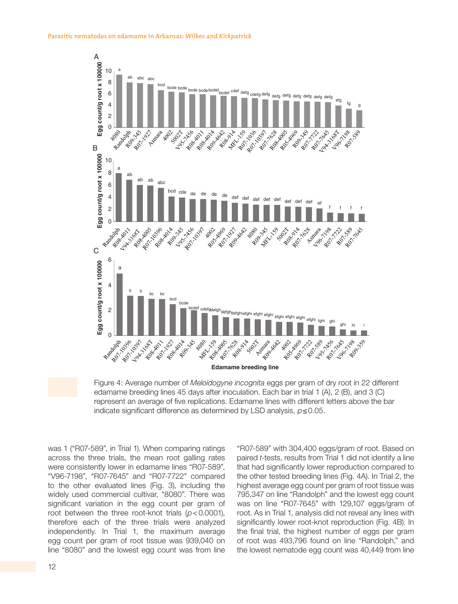

Figure 4: Average number of *Meloidogyne incognita* eggs per gram of dry root in 22 different edamame breeding lines 45 days after inoculation. Each bar in trial 1 (A), 2 (B), and 3 (C) represent an average of five replications. Edamame lines with different letters above the bar

indicate significant difference as determined by LSD analysis,  $p ≤ 0.05$ .

was 1 ("R07-589", in Trial 1). When comparing ratings across the three trials, the mean root galling rates were consistently lower in edamame lines "R07-589", "V96-7198", "R07-7645" and "R07-7722" compared to the other evaluated lines (Fig. 3), including the widely used commercial cultivar, "8080". There was significant variation in the egg count per gram of root between the three root-knot trials (*p*<0.0001), therefore each of the three trials were analyzed independently. In Trial 1, the maximum average egg count per gram of root tissue was 939,040 on line "8080" and the lowest egg count was from line "R07-589" with 304,400 eggs/gram of root. Based on paired *t*-tests, results from Trial 1 did not identify a line that had significantly lower reproduction compared to the other tested breeding lines (Fig. 4A). In Trial 2, the highest average egg count per gram of root tissue was 795,347 on line "Randolph" and the lowest egg count was on line "R07-7645" with 129,107 eggs/gram of root. As in Trial 1, analysis did not reveal any lines with significantly lower root-knot reproduction (Fig. 4B). In the final trial, the highest number of eggs per gram of root was 493,796 found on line "Randolph," and the lowest nematode egg count was 40,449 from line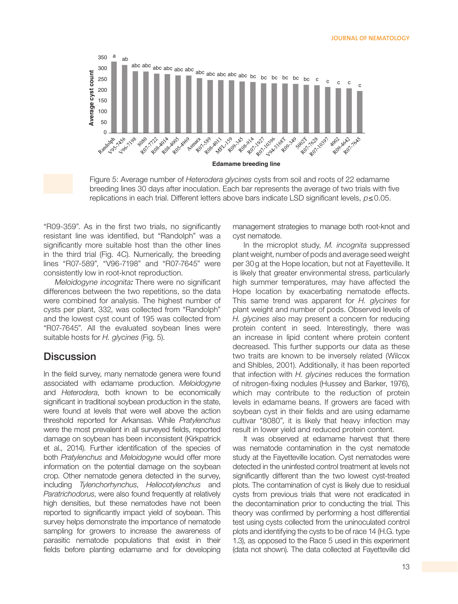

Figure 5: Average number of *Heterodera glycines* cysts from soil and roots of 22 edamame breeding lines 30 days after inoculation. Each bar represents the average of two trials with five replications in each trial. Different letters above bars indicate LSD significant levels,  $p \le 0.05$ .

"R09-359". As in the first two trials, no significantly resistant line was identified, but "Randolph" was a significantly more suitable host than the other lines in the third trial (Fig. 4C). Numerically, the breeding lines "R07-589", "V96-7198" and "R07-7645" were consistently low in root-knot reproduction.

Meloidogyne incognita: There were no significant differences between the two repetitions, so the data were combined for analysis. The highest number of cysts per plant, 332, was collected from "Randolph" and the lowest cyst count of 195 was collected from "R07-7645". All the evaluated soybean lines were suitable hosts for *H. glycines* (Fig. 5).

## **Discussion**

In the field survey, many nematode genera were found associated with edamame production. *Meloidogyne* and *Heterodera*, both known to be economically significant in traditional soybean production in the state, were found at levels that were well above the action threshold reported for Arkansas. While *Pratylenchus* were the most prevalent in all surveyed fields, reported damage on soybean has been inconsistent (Kirkpatrick et al., 2014). Further identification of the species of both *Pratylenchus* and *Meloidogyne* would offer more information on the potential damage on the soybean crop. Other nematode genera detected in the survey, including *Tylenchorhynchus*, *Heliocotylenchus* and *Paratrichodorus*, were also found frequently at relatively high densities, but these nematodes have not been reported to significantly impact yield of soybean. This survey helps demonstrate the importance of nematode sampling for growers to increase the awareness of parasitic nematode populations that exist in their fields before planting edamame and for developing

management strategies to manage both root-knot and cyst nematode.

In the microplot study, *M. incognita* suppressed plant weight, number of pods and average seed weight per 30g at the Hope location, but not at Fayetteville. It is likely that greater environmental stress, particularly high summer temperatures, may have affected the Hope location by exacerbating nematode effects. This same trend was apparent for *H. glycines* for plant weight and number of pods. Observed levels of *H. glycines* also may present a concern for reducing protein content in seed. Interestingly, there was an increase in lipid content where protein content decreased. This further supports our data as these two traits are known to be inversely related (Wilcox and Shibles, 2001). Additionally, it has been reported that infection with *H. glycines* reduces the formation of nitrogen-fixing nodules (Hussey and Barker, 1976), which may contribute to the reduction of protein levels in edamame beans. If growers are faced with soybean cyst in their fields and are using edamame cultivar "8080", it is likely that heavy infection may result in lower yield and reduced protein content.

It was observed at edamame harvest that there was nematode contamination in the cyst nematode study at the Fayetteville location. Cyst nematodes were detected in the uninfested control treatment at levels not significantly different than the two lowest cyst-treated plots. The contamination of cyst is likely due to residual cysts from previous trials that were not eradicated in the decontamination prior to conducting the trial. This theory was confirmed by performing a host differential test using cysts collected from the uninoculated control plots and identifying the cysts to be of race 14 (H.G. type 1.3), as opposed to the Race 5 used in this experiment (data not shown). The data collected at Fayetteville did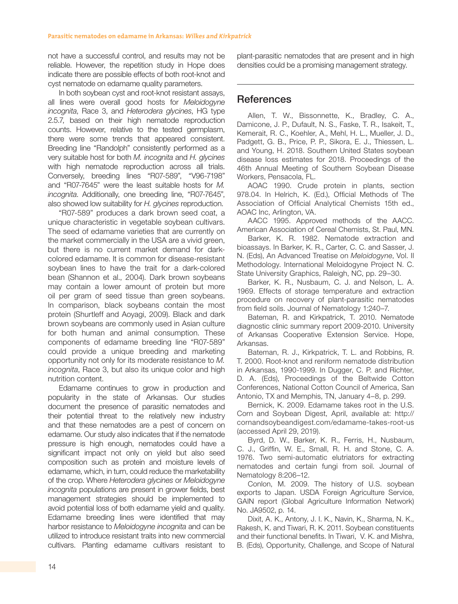not have a successful control, and results may not be reliable. However, the repetition study in Hope does indicate there are possible effects of both root-knot and cyst nematode on edamame quality parameters.

In both soybean cyst and root-knot resistant assays, all lines were overall good hosts for *Meloidogyne incognita*, Race 3, and *Heterodera glycines*, HG type 2.5.7, based on their high nematode reproduction counts. However, relative to the tested germplasm, there were some trends that appeared consistent. Breeding line "Randolph" consistently performed as a very suitable host for both *M. incognita* and *H. glycines* with high nematode reproduction across all trials. Conversely, breeding lines "R07-589", "V96-7198" and "R07-7645" were the least suitable hosts for *M. incognita*. Additionally, one breeding line, "R07-7645", also showed low suitability for *H. glycines* reproduction.

"R07-589" produces a dark brown seed coat, a unique characteristic in vegetable soybean cultivars. The seed of edamame varieties that are currently on the market commercially in the USA are a vivid green, but there is no current market demand for darkcolored edamame. It is common for disease-resistant soybean lines to have the trait for a dark-colored bean (Shannon et al., 2004). Dark brown soybeans may contain a lower amount of protein but more oil per gram of seed tissue than green soybeans. In comparison, black soybeans contain the most protein (Shurtleff and Aoyagi, 2009). Black and dark brown soybeans are commonly used in Asian culture for both human and animal consumption. These components of edamame breeding line "R07-589" could provide a unique breeding and marketing opportunity not only for its moderate resistance to *M. incognita*, Race 3, but also its unique color and high nutrition content.

Edamame continues to grow in production and popularity in the state of Arkansas. Our studies document the presence of parasitic nematodes and their potential threat to the relatively new industry and that these nematodes are a pest of concern on edamame. Our study also indicates that if the nematode pressure is high enough, nematodes could have a significant impact not only on yield but also seed composition such as protein and moisture levels of edamame, which, in turn, could reduce the marketability of the crop. Where *Heterodera glycines* or *Meloidogyne incognita* populations are present in grower fields, best management strategies should be implemented to avoid potential loss of both edamame yield and quality. Edamame breeding lines were identified that may harbor resistance to *Meloidogyne incognita* and can be utilized to introduce resistant traits into new commercial cultivars. Planting edamame cultivars resistant to plant-parasitic nematodes that are present and in high densities could be a promising management strategy.

## **References**

Allen, T. W., Bissonnette, K., Bradley, C. A., Damicone, J. P., Dufault, N. S., Faske, T. R., Isakeit, T., Kemerait, R. C., Koehler, A., Mehl, H. L., Mueller, J. D., Padgett, G. B., Price, P. P., Sikora, E. J., Thiessen, L. and Young, H. 2018. Southern United States soybean disease loss estimates for 2018. Proceedings of the 46th Annual Meeting of Southern Soybean Disease Workers, Pensacola, FL.

AOAC 1990. Crude protein in plants, section 978.04. In Helrich, K. (Ed.), Official Methods of The Association of Official Analytical Chemists 15th ed., AOAC Inc, Arlington, VA.

AACC 1995. Approved methods of the AACC. American Association of Cereal Chemists, St. Paul, MN.

Barker, K. R. 1982. Nematode extraction and bioassays. In Barker, K. R., Carter, C. C. and Sasser, J. N. (Eds), An Advanced Treatise on *Meloidogyne*, Vol. II Methodology. International Meloidogyne Project N. C. State University Graphics, Raleigh, NC, pp. 29–30.

Barker, K. R., Nusbaum, C. J. and Nelson, L. A. 1969. Effects of storage temperature and extraction procedure on recovery of plant-parasitic nematodes from field soils. Journal of Nematology 1:240–7.

Bateman, R. and Kirkpatrick, T. 2010. Nematode diagnostic clinic summary report 2009-2010. University of Arkansas Cooperative Extension Service. Hope, Arkansas.

Bateman, R. J., Kirkpatrick, T. L. and Robbins, R. T. 2000. Root-knot and reniform nematode distribution in Arkansas, 1990-1999. In Dugger, C. P. and Richter, D. A. (Eds), Proceedings of the Beltwide Cotton Conferences, National Cotton Council of America, San Antonio, TX and Memphis, TN, January 4–8, p. 299.

Bernick, K. 2009. Edamame takes root in the U.S. Corn and Soybean Digest, April, available at: http:// cornandsoybeandigest.com/edamame-takes-root-us (accessed April 29, 2019).

Byrd, D. W., Barker, K. R., Ferris, H., Nusbaum, C. J., Griffin, W. E., Small, R. H. and Stone, C. A. 1976. Two semi-automatic elutriators for extracting nematodes and certain fungi from soil. Journal of Nematology 8:206–12.

Conlon, M. 2009. The history of U.S. soybean exports to Japan. USDA Foreign Agriculture Service, GAIN report (Global Agriculture Information Network) No. JA9502, p. 14.

Dixit, A. K., Antony, J. I. K., Navin, K., Sharma, N. K., Rakesh, K. and Tiwari, R. K. 2011. Soybean constituents and their functional benefits. In Tiwari, V. K. and Mishra, B. (Eds), Opportunity, Challenge, and Scope of Natural